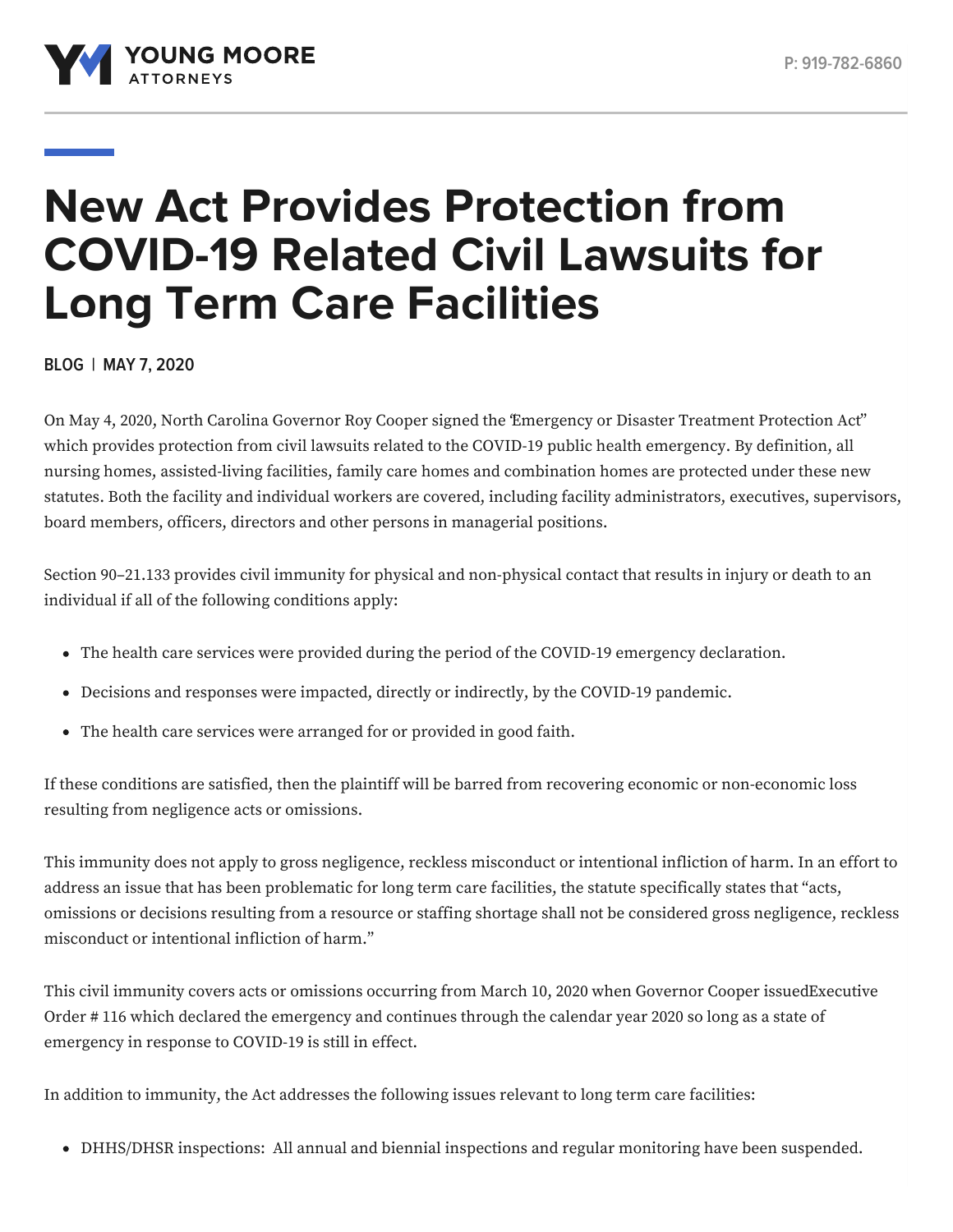

# **New Act Provides Protection from COVID-19 Related Civil Lawsuits for Long Term Care Facilities**

**BLOG | MAY 7, 2020**

On May 4, 2020, North Carolina Governor Roy Cooper signed the ["Emergency](https://www.ncleg.gov/EnactedLegislation/SessionLaws/HTML/2019-2020/SL2020-3.html) or Disaster Treatment Protection Act" which provides protection from civil lawsuits related to the COVID-19 public health emergency. By definition, all nursing homes, assisted-living facilities, family care homes and combination homes are protected under these new statutes. Both the facility and individual workers are covered, including facility administrators, executives, supervisors, board members, officers, directors and other persons in managerial positions.

Section 90–21.133 provides civil immunity for physical and non-physical contact that results in injury or death to an individual if all of the following conditions apply:

- The health care services were provided during the period of the COVID-19 emergency declaration.
- Decisions and responses were impacted, directly or indirectly, by the COVID-19 pandemic.
- The health care services were arranged for or provided in good faith.

If these conditions are satisfied, then the plaintiff will be barred from recovering economic or non-economic loss resulting from negligence acts or omissions.

This immunity does not apply to gross negligence, reckless misconduct or intentional infliction of harm. In an effort to address an issue that has been problematic for long term care facilities, the statute specifically states that "acts, omissions or decisions resulting from a resource or staffing shortage shall not be considered gross negligence, reckless misconduct or intentional infliction of harm."

This civil immunity covers acts or omissions occurring from March 10, 2020 when Governor Cooper [issuedExecutive](https://files.nc.gov/governor/documents/files/EO116-SOE-COVID-19.pdf) Order # 116 which declared the emergency and continues through the calendar year 2020 so long as a state of emergency in response to COVID-19 is still in effect.

In addition to immunity, the Act addresses the following issues relevant to long term care facilities:

DHHS/DHSR inspections: All annual and biennial inspections and regular monitoring have been suspended.